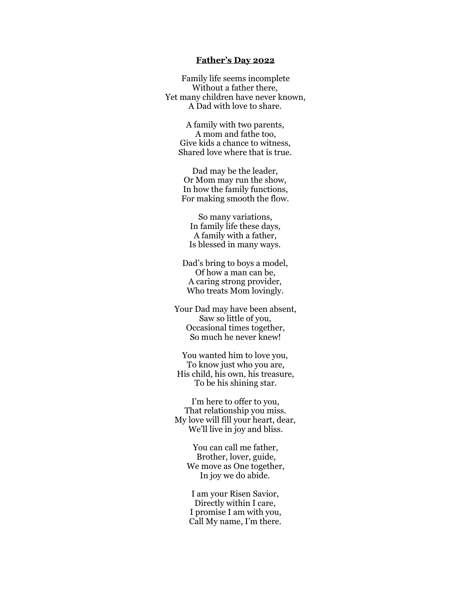## **Father's Day 2022**

Family life seems incomplete Without a father there, Yet many children have never known, A Dad with love to share.

A family with two parents, A mom and fathe too, Give kids a chance to witness, Shared love where that is true.

Dad may be the leader, Or Mom may run the show, In how the family functions, For making smooth the flow.

So many variations, In family life these days, A family with a father, Is blessed in many ways.

Dad's bring to boys a model, Of how a man can be, A caring strong provider, Who treats Mom lovingly.

Your Dad may have been absent, Saw so little of you, Occasional times together, So much he never knew!

You wanted him to love you, To know just who you are, His child, his own, his treasure, To be his shining star.

I'm here to offer to you, That relationship you miss. My love will fill your heart, dear, We'll live in joy and bliss.

> You can call me father, Brother, lover, guide, We move as One together, In joy we do abide.

I am your Risen Savior, Directly within I care, I promise I am with you, Call My name, I'm there.